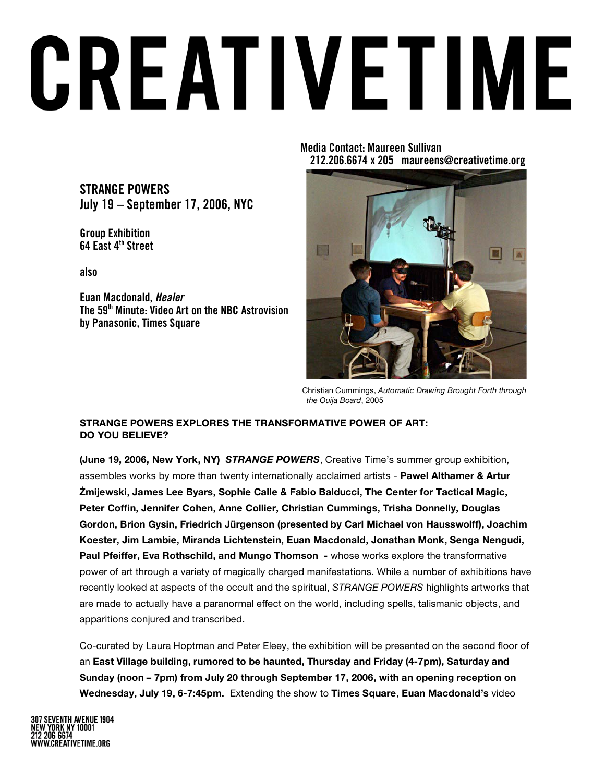# CREATIVETIME

**STRANGE POWERS July 19 – September 17, 2006, NYC**

**Group Exhibition 64 East 4th Street**

**also**

**Euan Macdonald,** *Healer* **The 59th Minute: Video Art on the NBC Astrovision by Panasonic, Times Square**

**Media Contact: Maureen Sullivan 212.206.6674 x 205 maureens@creativetime.org**



Christian Cummings, *Automatic Drawing Brought Forth through the Ouija Board*, 2005

### **STRANGE POWERS EXPLORES THE TRANSFORMATIVE POWER OF ART: DO YOU BELIEVE?**

**(June 19, 2006, New York, NY)** *STRANGE POWERS*, Creative Time's summer group exhibition, assembles works by more than twenty internationally acclaimed artists - **Pawel Althamer & Artur !mijewski, James Lee Byars, Sophie Calle & Fabio Balducci, The Center for Tactical Magic, Peter Coffin, Jennifer Cohen, Anne Collier, Christian Cummings, Trisha Donnelly, Douglas Gordon, Brion Gysin, Friedrich Jürgenson (presented by Carl Michael von Hausswolff), Joachim Koester, Jim Lambie, Miranda Lichtenstein, Euan Macdonald, Jonathan Monk, Senga Nengudi, Paul Pfeiffer, Eva Rothschild, and Mungo Thomson -** whose works explore the transformative power of art through a variety of magically charged manifestations. While a number of exhibitions have recently looked at aspects of the occult and the spiritual, *STRANGE POWERS* highlights artworks that are made to actually have a paranormal effect on the world, including spells, talismanic objects, and apparitions conjured and transcribed.

Co-curated by Laura Hoptman and Peter Eleey, the exhibition will be presented on the second floor of an **East Village building, rumored to be haunted, Thursday and Friday (4-7pm), Saturday and Sunday (noon – 7pm) from July 20 through September 17, 2006, with an opening reception on Wednesday, July 19, 6-7:45pm.** Extending the show to **Times Square**, **Euan Macdonald's** video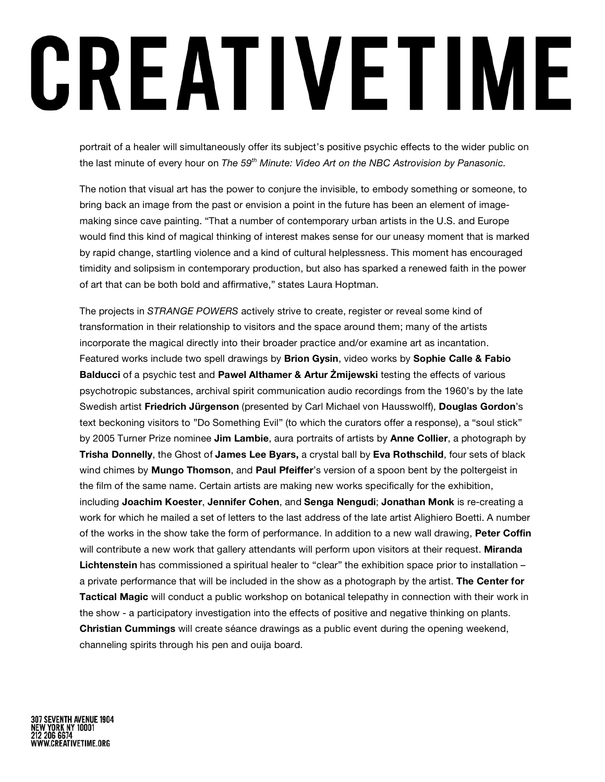# CREATIVETIME

portrait of a healer will simultaneously offer its subject's positive psychic effects to the wider public on the last minute of every hour on *The 59th Minute: Video Art on the NBC Astrovision by Panasonic.*

The notion that visual art has the power to conjure the invisible, to embody something or someone, to bring back an image from the past or envision a point in the future has been an element of imagemaking since cave painting. "That a number of contemporary urban artists in the U.S. and Europe would find this kind of magical thinking of interest makes sense for our uneasy moment that is marked by rapid change, startling violence and a kind of cultural helplessness. This moment has encouraged timidity and solipsism in contemporary production, but also has sparked a renewed faith in the power of art that can be both bold and affirmative," states Laura Hoptman.

The projects in *STRANGE POWERS* actively strive to create, register or reveal some kind of transformation in their relationship to visitors and the space around them; many of the artists incorporate the magical directly into their broader practice and/or examine art as incantation. Featured works include two spell drawings by **Brion Gysin**, video works by **Sophie Calle & Fabio Balducci** of a psychic test and **Pawel Althamer & Artur !mijewski** testing the effects of various psychotropic substances, archival spirit communication audio recordings from the 1960's by the late Swedish artist **Friedrich Jürgenson** (presented by Carl Michael von Hausswolff), **Douglas Gordon**'s text beckoning visitors to "Do Something Evil" (to which the curators offer a response), a "soul stick" by 2005 Turner Prize nominee **Jim Lambie**, aura portraits of artists by **Anne Collier**, a photograph by **Trisha Donnelly**, the Ghost of **James Lee Byars,** a crystal ball by **Eva Rothschild**, four sets of black wind chimes by **Mungo Thomson**, and **Paul Pfeiffer**'s version of a spoon bent by the poltergeist in the film of the same name. Certain artists are making new works specifically for the exhibition, including **Joachim Koester**, **Jennifer Cohen**, and **Senga Nengudi**; **Jonathan Monk** is re-creating a work for which he mailed a set of letters to the last address of the late artist Alighiero Boetti. A number of the works in the show take the form of performance. In addition to a new wall drawing, **Peter Coffin** will contribute a new work that gallery attendants will perform upon visitors at their request. **Miranda Lichtenstein** has commissioned a spiritual healer to "clear" the exhibition space prior to installation – a private performance that will be included in the show as a photograph by the artist. **The Center for Tactical Magic** will conduct a public workshop on botanical telepathy in connection with their work in the show - a participatory investigation into the effects of positive and negative thinking on plants. **Christian Cummings** will create séance drawings as a public event during the opening weekend, channeling spirits through his pen and ouija board.